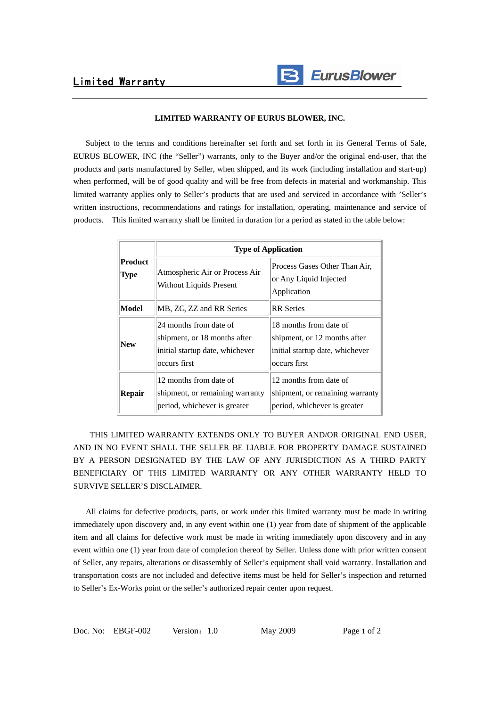

## **LIMITED WARRANTY OF EURUS BLOWER, INC.**

 Subject to the terms and conditions hereinafter set forth and set forth in its General Terms of Sale, EURUS BLOWER, INC (the "Seller") warrants, only to the Buyer and/or the original end-user, that the products and parts manufactured by Seller, when shipped, and its work (including installation and start-up) when performed, will be of good quality and will be free from defects in material and workmanship. This limited warranty applies only to Seller's products that are used and serviced in accordance with 'Seller's written instructions, recommendations and ratings for installation, operating, maintenance and service of products. This limited warranty shall be limited in duration for a period as stated in the table below:

| <b>Product</b><br><b>Type</b> | <b>Type of Application</b>                                                                                |                                                                                                           |
|-------------------------------|-----------------------------------------------------------------------------------------------------------|-----------------------------------------------------------------------------------------------------------|
|                               | Atmospheric Air or Process Air<br>Without Liquids Present                                                 | Process Gases Other Than Air,<br>or Any Liquid Injected<br>Application                                    |
| <b>Model</b>                  | MB, ZG, ZZ and RR Series                                                                                  | <b>RR</b> Series                                                                                          |
| <b>New</b>                    | 24 months from date of<br>shipment, or 18 months after<br>initial startup date, whichever<br>occurs first | 18 months from date of<br>shipment, or 12 months after<br>initial startup date, whichever<br>occurs first |
| <b>Repair</b>                 | 12 months from date of<br>shipment, or remaining warranty<br>period, whichever is greater                 | 12 months from date of<br>shipment, or remaining warranty<br>period, whichever is greater                 |

 THIS LIMITED WARRANTY EXTENDS ONLY TO BUYER AND/OR ORIGINAL END USER, AND IN NO EVENT SHALL THE SELLER BE LIABLE FOR PROPERTY DAMAGE SUSTAINED BY A PERSON DESIGNATED BY THE LAW OF ANY JURISDICTION AS A THIRD PARTY BENEFICIARY OF THIS LIMITED WARRANTY OR ANY OTHER WARRANTY HELD TO SURVIVE SELLER'S DISCLAIMER.

 All claims for defective products, parts, or work under this limited warranty must be made in writing immediately upon discovery and, in any event within one (1) year from date of shipment of the applicable item and all claims for defective work must be made in writing immediately upon discovery and in any event within one (1) year from date of completion thereof by Seller. Unless done with prior written consent of Seller, any repairs, alterations or disassembly of Seller's equipment shall void warranty. Installation and transportation costs are not included and defective items must be held for Seller's inspection and returned to Seller's Ex-Works point or the seller's authorized repair center upon request.

Doc. No: EBGF-002 Version:1.0 May 2009 Page 1 of 2